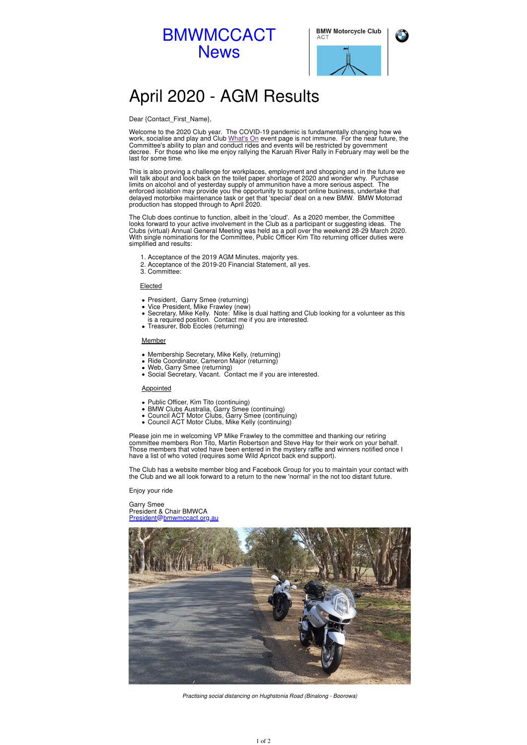

| BMW Motorcycle Club |  |  |  |
|---------------------|--|--|--|
| .                   |  |  |  |



# April 2020 - AGM Results

### Dear {Contact\_First\_Name},

Welcome to the 2020 Club year. The COVID-19 pandemic is fundamentally changing how we work, socialise and play and Club What's On event page is not immune. For the near future, the Committee's ability to plan and conduct rides and events will be restricted by government decree. For those who like me enjoy rallying the Karuah River Rally in February may well be the last for some time.

This is also proving a challenge for workplaces, employment and shopping and in the future we will talk about and look back on the toilet paper shortage of 2020 and wonder why. Purchase limits on alcohol and of yesterday supply of ammunition have a more serious aspect. The enforced isolation may provide you the opportunity to support online business, undertake that delayed motorbike maintenance task or get that 'special' deal on a new BMW. BMW Motorrad production has stopped through to April 2020.

- President, Garry Smee (returning)
- Vice President, Mike Frawley (new)
- Secretary, Mike Kelly. Note: Mike is dual hatting and Club looking for a volunteer as this is a required position. Contact me if you are interested.
- Treasurer, Bob Eccles (returning)

- Public Officer, Kim Tito (continuing)
- BMW Clubs Australia, Garry Smee (continuing)
- Council ACT Motor Clubs, Garry Smee (continuing)
- Council ACT Motor Clubs, Mike Kelly (continuing)

The Club does continue to function, albeit in the 'cloud'. As a 2020 member, the Committee looks forward to your active involvement in the Club as a participant or suggesting ideas. The Clubs (virtual) Annual General Meeting was held as a poll over the weekend 28-29 March 2020. With single nominations for the Committee, Public Officer Kim Tito returning officer duties were simplified and results:

- 1. Acceptance of the 2019 AGM Minutes, majority yes.
- 2. Acceptance of the 2019-20 Financial Statement, all yes.
- 3. Committee:

#### Elected

#### Member

- Membership Secretary, Mike Kelly, (returning)
- Ride Coordinator, Cameron Major (returning)
- Web, Garry Smee (returning)
- Social Secretary, Vacant. Contact me if you are interested.

#### **Appointed**

Please join me in welcoming VP Mike Frawley to the committee and thanking our retiring committee members Ron Tito, Martin Robertson and Steve Hay for their work on your behalf. Those members that voted have been entered in the mystery raffle and winners notified once I have a list of who voted (requires some Wild Apricot back end support).

The Club has a website member blog and Facebook Group for you to maintain your contact with the Club and we all look forward to a return to the new 'normal' in the not too distant future.

Enjoy your ride

Garry Smee President & Chair BMWCA President@bmwmccact.org.au



Practising social distancing on Hughstonia Road (Binalong - Boorowa)